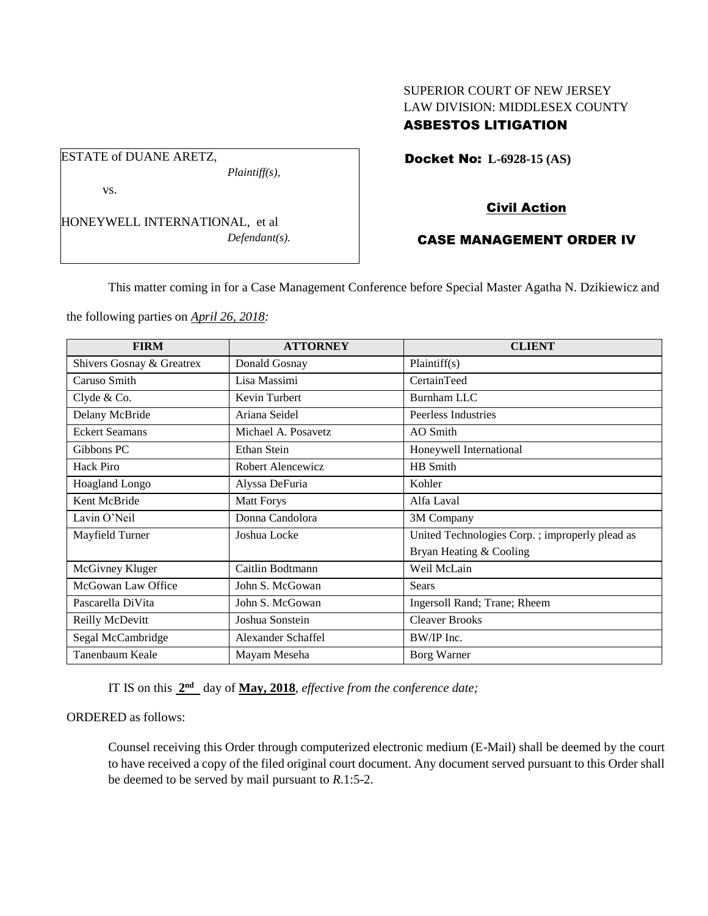## SUPERIOR COURT OF NEW JERSEY LAW DIVISION: MIDDLESEX COUNTY ASBESTOS LITIGATION

Docket No: **L-6928-15 (AS)** 

vs.

ESTATE of DUANE ARETZ,

HONEYWELL INTERNATIONAL, et al *Defendant(s).*

*Plaintiff(s),*

# Civil Action

## CASE MANAGEMENT ORDER IV

This matter coming in for a Case Management Conference before Special Master Agatha N. Dzikiewicz and

the following parties on *April 26, 2018:*

| <b>FIRM</b>               | <b>ATTORNEY</b>     | <b>CLIENT</b>                                   |
|---------------------------|---------------------|-------------------------------------------------|
| Shivers Gosnay & Greatrex | Donald Gosnay       | Plaintiff(s)                                    |
| Caruso Smith              | Lisa Massimi        | CertainTeed                                     |
| Clyde & Co.               | Kevin Turbert       | <b>Burnham LLC</b>                              |
| Delany McBride            | Ariana Seidel       | Peerless Industries                             |
| <b>Eckert Seamans</b>     | Michael A. Posavetz | AO Smith                                        |
| Gibbons PC                | Ethan Stein         | Honeywell International                         |
| Hack Piro                 | Robert Alencewicz   | HB Smith                                        |
| <b>Hoagland Longo</b>     | Alyssa DeFuria      | Kohler                                          |
| Kent McBride              | <b>Matt Forys</b>   | Alfa Laval                                      |
| Lavin O'Neil              | Donna Candolora     | 3M Company                                      |
| Mayfield Turner           | Joshua Locke        | United Technologies Corp. ; improperly plead as |
|                           |                     | Bryan Heating & Cooling                         |
| McGivney Kluger           | Caitlin Bodtmann    | Weil McLain                                     |
| McGowan Law Office        | John S. McGowan     | Sears                                           |
| Pascarella DiVita         | John S. McGowan     | Ingersoll Rand; Trane; Rheem                    |
| Reilly McDevitt           | Joshua Sonstein     | <b>Cleaver Brooks</b>                           |
| Segal McCambridge         | Alexander Schaffel  | BW/IP Inc.                                      |
| Tanenbaum Keale           | Mayam Meseha        | Borg Warner                                     |

IT IS on this  $2<sup>nd</sup>$  day of May, 2018, *effective from the conference date*;

## ORDERED as follows:

Counsel receiving this Order through computerized electronic medium (E-Mail) shall be deemed by the court to have received a copy of the filed original court document. Any document served pursuant to this Order shall be deemed to be served by mail pursuant to *R*.1:5-2.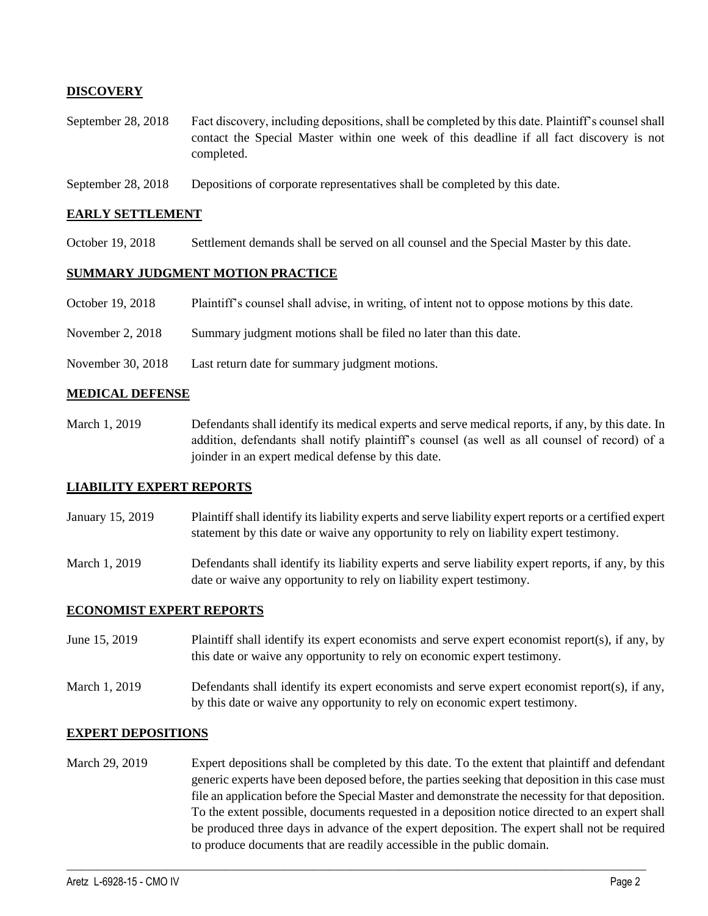### **DISCOVERY**

- September 28, 2018 Fact discovery, including depositions, shall be completed by this date. Plaintiff's counsel shall contact the Special Master within one week of this deadline if all fact discovery is not completed.
- September 28, 2018 Depositions of corporate representatives shall be completed by this date.

### **EARLY SETTLEMENT**

October 19, 2018 Settlement demands shall be served on all counsel and the Special Master by this date.

### **SUMMARY JUDGMENT MOTION PRACTICE**

- October 19, 2018 Plaintiff's counsel shall advise, in writing, of intent not to oppose motions by this date.
- November 2, 2018 Summary judgment motions shall be filed no later than this date.
- November 30, 2018 Last return date for summary judgment motions.

#### **MEDICAL DEFENSE**

March 1, 2019 Defendants shall identify its medical experts and serve medical reports, if any, by this date. In addition, defendants shall notify plaintiff's counsel (as well as all counsel of record) of a joinder in an expert medical defense by this date.

### **LIABILITY EXPERT REPORTS**

- January 15, 2019 Plaintiff shall identify its liability experts and serve liability expert reports or a certified expert statement by this date or waive any opportunity to rely on liability expert testimony.
- March 1, 2019 Defendants shall identify its liability experts and serve liability expert reports, if any, by this date or waive any opportunity to rely on liability expert testimony.

### **ECONOMIST EXPERT REPORTS**

- June 15, 2019 Plaintiff shall identify its expert economists and serve expert economist report(s), if any, by this date or waive any opportunity to rely on economic expert testimony.
- March 1, 2019 Defendants shall identify its expert economists and serve expert economist report(s), if any, by this date or waive any opportunity to rely on economic expert testimony.

#### **EXPERT DEPOSITIONS**

March 29, 2019 Expert depositions shall be completed by this date. To the extent that plaintiff and defendant generic experts have been deposed before, the parties seeking that deposition in this case must file an application before the Special Master and demonstrate the necessity for that deposition. To the extent possible, documents requested in a deposition notice directed to an expert shall be produced three days in advance of the expert deposition. The expert shall not be required to produce documents that are readily accessible in the public domain.

 $\_$  ,  $\_$  ,  $\_$  ,  $\_$  ,  $\_$  ,  $\_$  ,  $\_$  ,  $\_$  ,  $\_$  ,  $\_$  ,  $\_$  ,  $\_$  ,  $\_$  ,  $\_$  ,  $\_$  ,  $\_$  ,  $\_$  ,  $\_$  ,  $\_$  ,  $\_$  ,  $\_$  ,  $\_$  ,  $\_$  ,  $\_$  ,  $\_$  ,  $\_$  ,  $\_$  ,  $\_$  ,  $\_$  ,  $\_$  ,  $\_$  ,  $\_$  ,  $\_$  ,  $\_$  ,  $\_$  ,  $\_$  ,  $\_$  ,